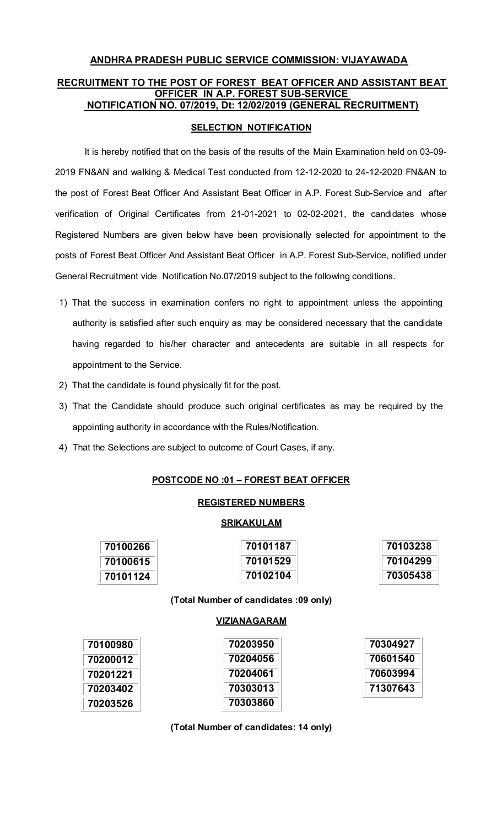# **ANDHRA PRADESH PUBLIC SERVICE COMMISSION: VIJAYAWADA RECRUITMENT TO THE POST OF FOREST BEAT OFFICER AND ASSISTANT BEAT OFFICER IN A.P. FOREST SUB-SERVICE NOTIFICATION NO. 07/2019, Dt: 12/02/2019 (GENERAL RECRUITMENT)**

## **SELECTION NOTIFICATION**

 It is hereby notified that on the basis of the results of the Main Examination held on 03-09- 2019 FN&AN and walking & Medical Test conducted from 12-12-2020 to 24-12-2020 FN&AN to the post of Forest Beat Officer And Assistant Beat Officer in A.P. Forest Sub-Service and after verification of Original Certificates from 21-01-2021 to 02-02-2021, the candidates whose Registered Numbers are given below have been provisionally selected for appointment to the posts of Forest Beat Officer And Assistant Beat Officer in A.P. Forest Sub-Service, notified under General Recruitment vide Notification No.07/2019 subject to the following conditions.

- 1) That the success in examination confers no right to appointment unless the appointing authority is satisfied after such enquiry as may be considered necessary that the candidate having regarded to his/her character and antecedents are suitable in all respects for appointment to the Service.
- 2) That the candidate is found physically fit for the post.
- 3) That the Candidate should produce such original certificates as may be required by the appointing authority in accordance with the Rules/Notification.
- 4) That the Selections are subject to outcome of Court Cases, if any.

### **POSTCODE NO :01 – FOREST BEAT OFFICER**

#### **REGISTERED NUMBERS**

#### **SRIKAKULAM**

| 70100266 | 70101187 | 70103238 |
|----------|----------|----------|
| 70100615 | 70101529 | 70104299 |
| 70101124 | 70102104 | 70305438 |

**(Total Number of candidates :09 only)** 

#### **VIZIANAGARAM**

| 70100980 | 70203950 | 70304927 |
|----------|----------|----------|
| 70200012 | 70204056 | 70601540 |
| 70201221 | 70204061 | 70603994 |
| 70203402 | 70303013 | 71307643 |
| 70203526 | 70303860 |          |

**(Total Number of candidates: 14 only)**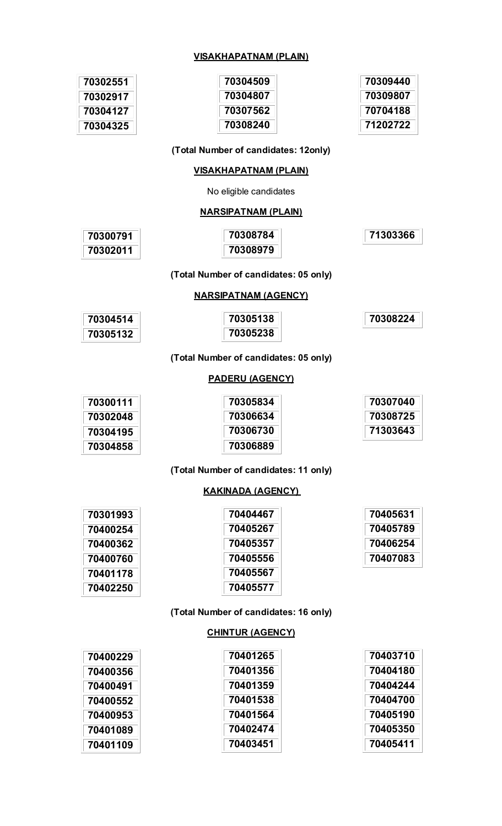#### **VISAKHAPATNAM (PLAIN)**

| 70302551 | 70304509 | 70309440 |
|----------|----------|----------|
| 70302917 | 70304807 | 70309807 |
| 70304127 | 70307562 | 70704188 |
| 70304325 | 70308240 | 71202722 |
|          |          |          |

### **(Total Number of candidates: 12only)**

#### **VISAKHAPATNAM (PLAIN)**

No eligible candidates

#### **NARSIPATNAM (PLAIN)**

| 70300791 | 70308784 | 71303366 |
|----------|----------|----------|
| 70302011 | 70308979 |          |

### **(Total Number of candidates: 05 only)**

### **NARSIPATNAM (AGENCY)**

| 70304514 | 70305138 | 70308224 |
|----------|----------|----------|
| 70305132 | 70305238 |          |

#### **(Total Number of candidates: 05 only)**

### **PADERU (AGENCY)**

| 70300111 | 70305834 | 70307040 |
|----------|----------|----------|
| 70302048 | 70306634 | 70308725 |
| 70304195 | 70306730 | 71303643 |
| 70304858 | 70306889 |          |

#### **(Total Number of candidates: 11 only)**

## **KAKINADA (AGENCY)**

| 70301993 | 70404467 | 70405631 |
|----------|----------|----------|
| 70400254 | 70405267 | 70405789 |
| 70400362 | 70405357 | 70406254 |
| 70400760 | 70405556 | 70407083 |
| 70401178 | 70405567 |          |
| 70402250 | 70405577 |          |

### **(Total Number of candidates: 16 only)**

#### **CHINTUR (AGENCY)**

| 70400229 | 70401265 | 70403710 |
|----------|----------|----------|
| 70400356 | 70401356 | 70404180 |
| 70400491 | 70401359 | 70404244 |
| 70400552 | 70401538 | 70404700 |
| 70400953 | 70401564 | 70405190 |
| 70401089 | 70402474 | 70405350 |
| 70401109 | 70403451 | 70405411 |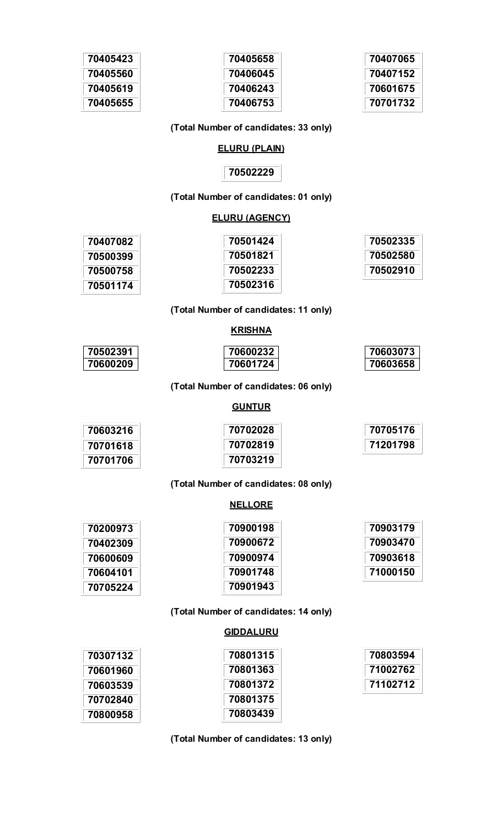| 70405423 |
|----------|
| 70405560 |
| 70405619 |
| 70405655 |



| 70407065 |
|----------|
| 70407152 |
| 70601675 |
| 70701732 |

## **(Total Number of candidates: 33 only)**

#### **ELURU (PLAIN)**

## 

### **(Total Number of candidates: 01 only)**

#### **ELURU (AGENCY)**

| 70407082 | 70501424 | 70502335 |
|----------|----------|----------|
| 70500399 | 70501821 | 70502580 |
| 70500758 | 70502233 | 70502910 |
| 70501174 | 70502316 |          |

## **(Total Number of candidates: 11 only)**

### **KRISHNA**

| 70502391 | 70600232 | 70603073 |
|----------|----------|----------|
| 70600209 | 70601724 | 70603658 |

### **(Total Number of candidates: 06 only)**

## **GUNTUR**

| 70603216 | 70702028 | 70705176 |
|----------|----------|----------|
| 70701618 | 70702819 | 71201798 |
| 70701706 | 70703219 |          |

## **(Total Number of candidates: 08 only)**

## **NELLORE**

| 70200973 | 70900198 | 70903179 |
|----------|----------|----------|
| 70402309 | 70900672 | 70903470 |
| 70600609 | 70900974 | 70903618 |
| 70604101 | 70901748 | 71000150 |
| 70705224 | 70901943 |          |

### **(Total Number of candidates: 14 only)**

#### **GIDDALURU**

| 70307132 | 70801315 | 70803594 |
|----------|----------|----------|
| 70601960 | 70801363 | 71002762 |
| 70603539 | 70801372 | 71102712 |
| 70702840 | 70801375 |          |
| 70800958 | 70803439 |          |

**(Total Number of candidates: 13 only)**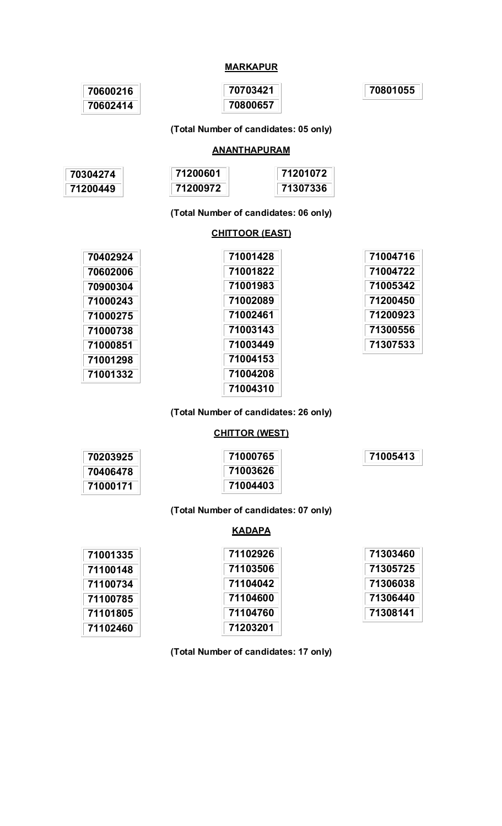## **MARKAPUR**

| 70600216 | 70703421 | 70801055 |
|----------|----------|----------|
| 70602414 | 70800657 |          |

**(Total Number of candidates: 05 only)** 

### **ANANTHAPURAM**

| 70304274 | 71200601 | 71201072 |
|----------|----------|----------|
| 71200449 | 71200972 | 71307336 |

**(Total Number of candidates: 06 only)** 

### **CHITTOOR (EAST)**

| 70402924 | 71001428 | 71004716 |
|----------|----------|----------|
| 70602006 | 71001822 | 71004722 |
| 70900304 | 71001983 | 71005342 |
| 71000243 | 71002089 | 71200450 |
| 71000275 | 71002461 | 71200923 |
| 71000738 | 71003143 | 71300556 |
| 71000851 | 71003449 | 71307533 |
| 71001298 | 71004153 |          |
| 71001332 | 71004208 |          |
|          | 71004310 |          |

**(Total Number of candidates: 26 only)** 

## **CHITTOR (WEST)**

| 70203925 | 71000765 | 71005413 |
|----------|----------|----------|
| 70406478 | 71003626 |          |
| 71000171 | 71004403 |          |

### **(Total Number of candidates: 07 only)**

### **KADAPA**

| 71001335 | 71102926 | 71303460 |
|----------|----------|----------|
| 71100148 | 71103506 | 71305725 |
| 71100734 | 71104042 | 71306038 |
| 71100785 | 71104600 | 71306440 |
| 71101805 | 71104760 | 71308141 |
| 71102460 | 71203201 |          |

**(Total Number of candidates: 17 only)**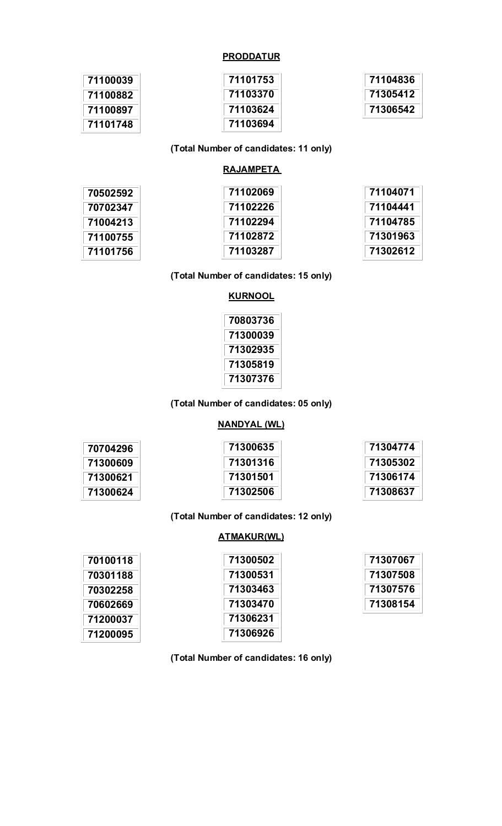## **PRODDATUR**

| 71100039 | 71101753 | 71104836 |
|----------|----------|----------|
| 71100882 | 71103370 | 71305412 |
| 71100897 | 71103624 | 71306542 |
| 71101748 | 71103694 |          |

### **(Total Number of candidates: 11 only)**

## **RAJAMPETA**

| 70502592 | 71102069 | 71104071 |
|----------|----------|----------|
| 70702347 | 71102226 | 71104441 |
| 71004213 | 71102294 | 71104785 |
| 71100755 | 71102872 | 71301963 |
| 71101756 | 71103287 | 71302612 |

## **(Total Number of candidates: 15 only)**

## **KURNOOL**

| 70803736 |
|----------|
| 71300039 |
| 71302935 |
| 71305819 |
| 71307376 |

### **(Total Number of candidates: 05 only)**

### **NANDYAL (WL)**

| 70704296 | 71300635 | 71304774 |
|----------|----------|----------|
| 71300609 | 71301316 | 71305302 |
| 71300621 | 71301501 | 71306174 |
| 71300624 | 71302506 | 71308637 |

## **(Total Number of candidates: 12 only)**

#### **ATMAKUR(WL)**

 $\mathbb{R}^2$ 

| 70100118 | 71300502 | 71307067 |
|----------|----------|----------|
| 70301188 | 71300531 | 71307508 |
| 70302258 | 71303463 | 71307576 |
| 70602669 | 71303470 | 71308154 |
| 71200037 | 71306231 |          |
| 71200095 | 71306926 |          |

### **(Total Number of candidates: 16 only)**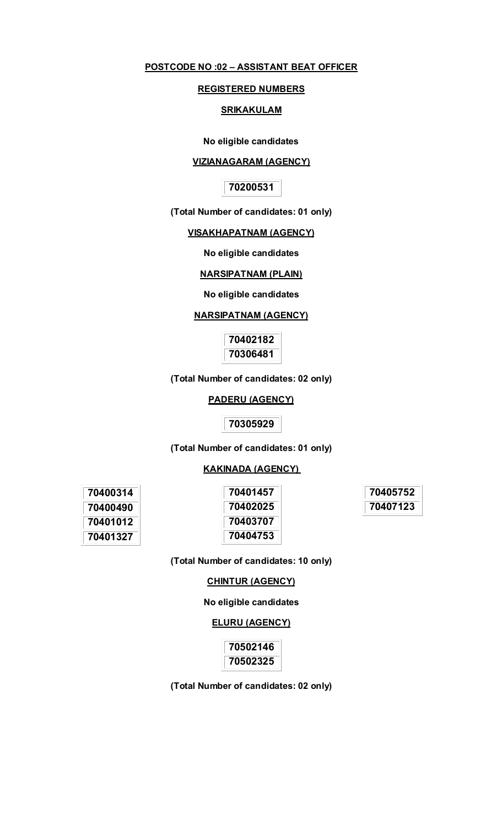## **POSTCODE NO :02 – ASSISTANT BEAT OFFICER**

### **REGISTERED NUMBERS**

#### **SRIKAKULAM**

**No eligible candidates** 

#### **VIZIANAGARAM (AGENCY)**

## **70200531**

**(Total Number of candidates: 01 only)** 

### **VISAKHAPATNAM (AGENCY)**

**No eligible candidates** 

## **NARSIPATNAM (PLAIN)**

#### **No eligible candidates**

#### **NARSIPATNAM (AGENCY)**

**70402182 70306481** 

**(Total Number of candidates: 02 only)** 

## **PADERU (AGENCY)**

**70305929** 

**(Total Number of candidates: 01 only)** 

## **KAKINADA (AGENCY)**

**70405752 70407123** 

**(Total Number of candidates: 10 only)** 

#### **CHINTUR (AGENCY)**

#### **No eligible candidates**

## **ELURU (AGENCY)**

**70502146 70502325** 

**(Total Number of candidates: 02 only)**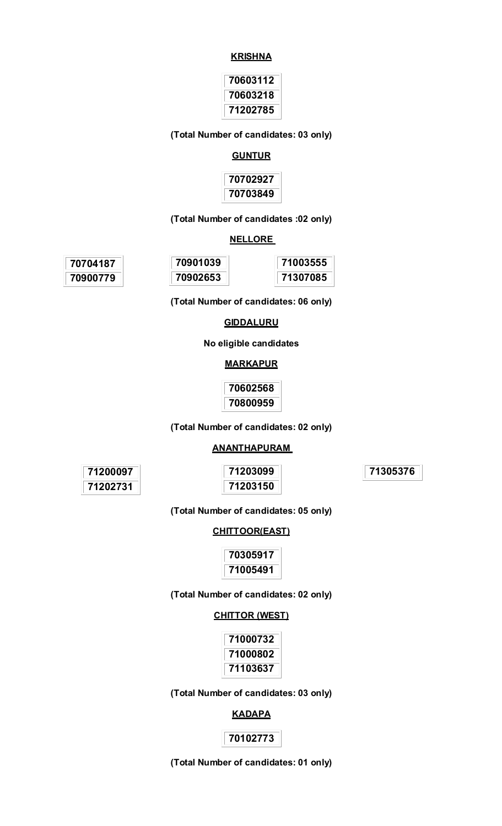#### **KRISHNA**

| 70603112 |
|----------|
| 70603218 |
| 71202785 |

**(Total Number of candidates: 03 only)** 

## **GUNTUR**



### **(Total Number of candidates :02 only)**

#### **NELLORE**

| 70704187 | 70901039 | 71003555 |
|----------|----------|----------|
| 70900779 | 70902653 | 71307085 |

**(Total Number of candidates: 06 only)** 

#### **GIDDALURU**

**No eligible candidates** 

#### **MARKAPUR**

**70602568 70800959** 

# **(Total Number of candidates: 02 only)**

## **ANANTHAPURAM**

**71200097 71202731** 

**71203099 71203150**  **71305376** 

**(Total Number of candidates: 05 only)** 

#### **CHITTOOR(EAST)**

**70305917 71005491** 

### **(Total Number of candidates: 02 only)**

#### **CHITTOR (WEST)**

| 71000732 |
|----------|
| 71000802 |
| 71103637 |

**(Total Number of candidates: 03 only)** 

## **KADAPA**

## **70102773**

**(Total Number of candidates: 01 only)**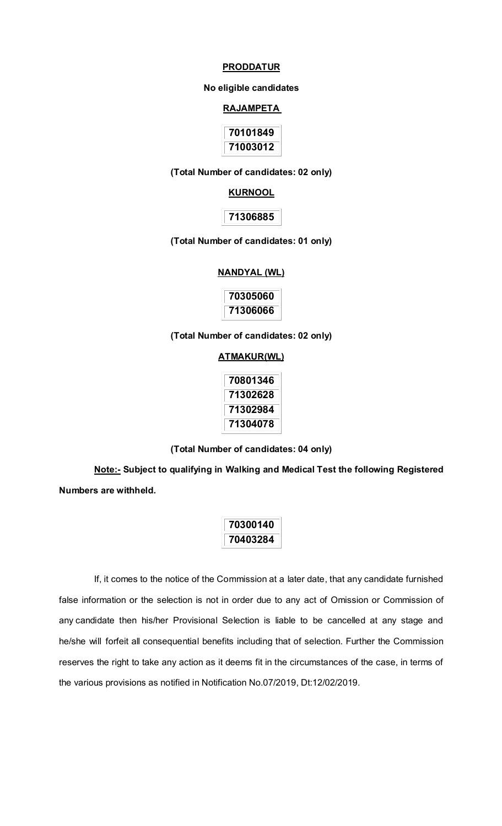#### **PRODDATUR**

#### **No eligible candidates**

#### **RAJAMPETA**

| 70101849 |
|----------|
| 71003012 |

#### **(Total Number of candidates: 02 only)**

#### **KURNOOL**

### **71306885**

#### **(Total Number of candidates: 01 only)**

#### **NANDYAL (WL)**

| 70305060 |
|----------|
| 71306066 |

**(Total Number of candidates: 02 only)** 

#### **ATMAKUR(WL)**

| 70801346 |
|----------|
| 71302628 |
| 71302984 |
| 71304078 |

**(Total Number of candidates: 04 only)** 

**Note:- Subject to qualifying in Walking and Medical Test the following Registered Numbers are withheld.**

> **70300140 70403284**

If, it comes to the notice of the Commission at a later date, that any candidate furnished false information or the selection is not in order due to any act of Omission or Commission of any candidate then his/her Provisional Selection is liable to be cancelled at any stage and he/she will forfeit all consequential benefits including that of selection. Further the Commission reserves the right to take any action as it deems fit in the circumstances of the case, in terms of the various provisions as notified in Notification No.07/2019, Dt:12/02/2019.